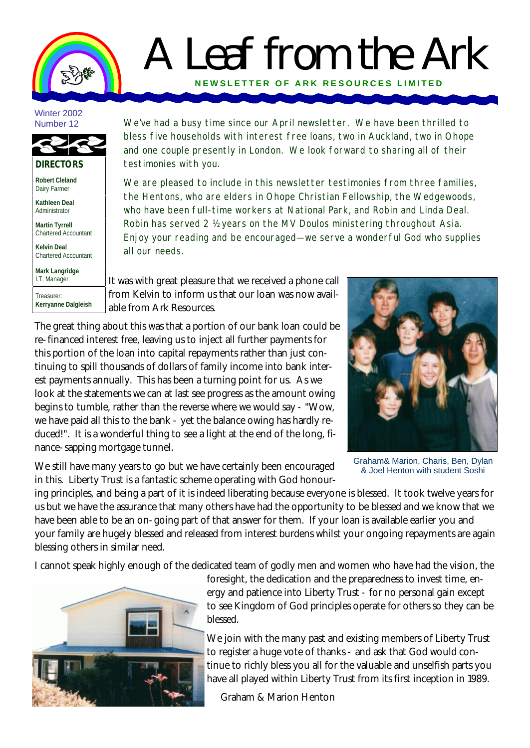## A Leaf from the Ark **NEWSLETTER OF ARK RE SOURCES LIMITED**

## Winter 2002 Number 12



**Robert Cleland** Dairy Farmer

**Kathleen Deal** Administrator

**Martin Tyrrell** Chartered Accountant

**Kelvin Deal** Chartered Accountant

**Mark Langridge** I.T. Manager Treasurer:

**Kerryanne Dalgleish**

We've had a busy time since our April newsletter. We have been thrilled to bless five households with interest free loans, two in Auckland, two in Ohope and one couple presently in London. We look forward to sharing all of their testimonies with you.

We are pleased to include in this newsletter testimonies from three families, the Hentons, who are elders in Ohope Christian Fellowship, the Wedgewoods, who have been full-time workers at National Park, and Robin and Linda Deal. Robin has served 2 ½ years on the MV Doulos ministering throughout Asia. Enjoy your reading and be encouraged—we serve a wonderful God who supplies all our needs.

It was with great pleasure that we received a phone call from Kelvin to inform us that our loan was now available from Ark Resources.

The great thing about this was that a portion of our bank loan could be re-financed interest free, leaving us to inject all further payments for this portion of the loan into capital repayments rather than just continuing to spill thousands of dollars of family income into bank interest payments annually. This has been a turning point for us. As we look at the statements we can at last see progress as the amount owing begins to tumble, rather than the reverse where we would say - "Wow, we have paid all this to the bank - yet the balance owing has hardly reduced!". It is a wonderful thing to see a light at the end of the long, finance-sapping mortgage tunnel.

We still have many years to go but we have certainly been encouraged in this. Liberty Trust is a fantastic scheme operating with God honour-



Graham& Marion, Charis, Ben, Dylan & Joel Henton with student Soshi

ing principles, and being a part of it is indeed liberating because everyone is blessed. It took twelve years for us but we have the assurance that many others have had the opportunity to be blessed and we know that we have been able to be an on-going part of that answer for them. If your loan is available earlier you and your family are hugely blessed and released from interest burdens whilst your ongoing repayments are again blessing others in similar need.

I cannot speak highly enough of the dedicated team of godly men and women who have had the vision, the



foresight, the dedication and the preparedness to invest time, energy and patience into Liberty Trust - for no personal gain except to see Kingdom of God principles operate for others so they can be blessed.

We join with the many past and existing members of Liberty Trust to register a huge vote of thanks - and ask that God would continue to richly bless you all for the valuable and unselfish parts you have all played within Liberty Trust from its first inception in 1989.

Graham & Marion Henton